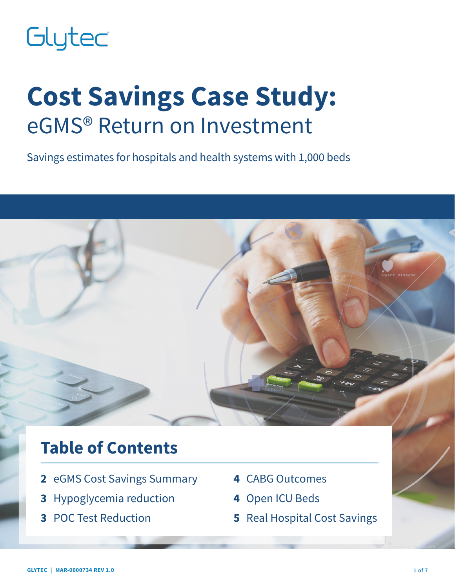# Glytec

# **Cost Savings Case Study:** eGMS® Return on Investment

Savings estimates for hospitals and health systems with 1,000 beds

# **Table of Contents**

- **2** eGMS Cost Savings Summary
- **3** Hypoglycemia reduction
- **3** POC Test Reduction
- **4** CABG Outcomes
- **4** Open ICU Beds
- **5** Real Hospital Cost Savings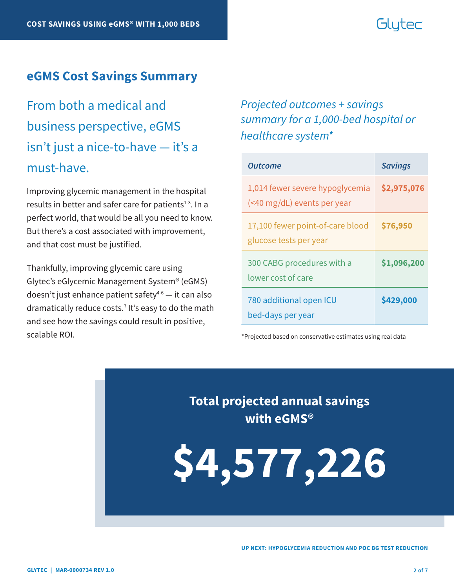# Glutec

#### **eGMS Cost Savings Summary**

From both a medical and business perspective, eGMS isn't just a nice-to-have — it's a must-have.

Improving glycemic management in the hospital results in better and safer care for patients $1-3$ . In a perfect world, that would be all you need to know. But there's a cost associated with improvement, and that cost must be justified.

Thankfully, improving glycemic care using Glytec's eGlycemic Management System® (eGMS) doesn't just enhance patient safety $4-6$  — it can also dramatically reduce costs.7 It's easy to do the math and see how the savings could result in positive, scalable ROI.

### *Projected outcomes + savings summary for a 1,000-bed hospital or healthcare system\**

| <b>Outcome</b>                                                 | <b>Savings</b> |
|----------------------------------------------------------------|----------------|
| 1,014 fewer severe hypoglycemia<br>(<40 mg/dL) events per year | \$2,975,076    |
| 17,100 fewer point-of-care blood<br>glucose tests per year     | \$76,950       |
| 300 CABG procedures with a<br>lower cost of care               | \$1,096,200    |
| 780 additional open ICU<br>bed-days per year                   | \$429,000      |

\*Projected based on conservative estimates using real data

**Total projected annual savings with eGMS®**

**\$4,577,226**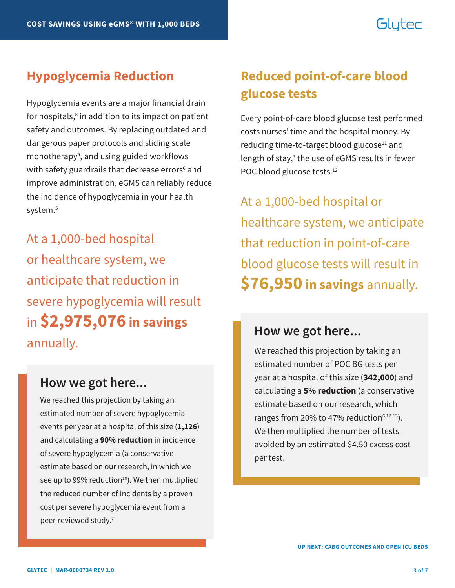# Glutec

Hypoglycemia events are a major financial drain for hospitals,<sup>8</sup> in addition to its impact on patient safety and outcomes. By replacing outdated and dangerous paper protocols and sliding scale monotherapy<sup>9</sup>, and using guided workflows with safety guardrails that decrease errors<sup>6</sup> and improve administration, eGMS can reliably reduce the incidence of hypoglycemia in your health system.<sup>5</sup>

At a 1,000-bed hospital or healthcare system, we anticipate that reduction in severe hypoglycemia will result in **\$2,975,076 in savings** annually.

### **How we got here...**

We reached this projection by taking an estimated number of severe hypoglycemia events per year at a hospital of this size (**1,126**) and calculating a **90% reduction** in incidence of severe hypoglycemia (a conservative estimate based on our research, in which we see up to 99% reduction $10$ . We then multiplied the reduced number of incidents by a proven cost per severe hypoglycemia event from a peer-reviewed study.7

# **Hypoglycemia Reduction Reduced point-of-care blood glucose tests**

Every point-of-care blood glucose test performed costs nurses' time and the hospital money. By reducing time-to-target blood glucose<sup>11</sup> and length of stay,<sup>7</sup> the use of eGMS results in fewer POC blood glucose tests.<sup>12</sup>

At a 1,000-bed hospital or healthcare system, we anticipate that reduction in point-of-care blood glucose tests will result in **\$76,950 in savings** annually.

### **How we got here...**

We reached this projection by taking an estimated number of POC BG tests per year at a hospital of this size (**342,000**) and calculating a **5% reduction** (a conservative estimate based on our research, which ranges from 20% to 47% reduction $6,12,13$ ). We then multiplied the number of tests avoided by an estimated \$4.50 excess cost per test.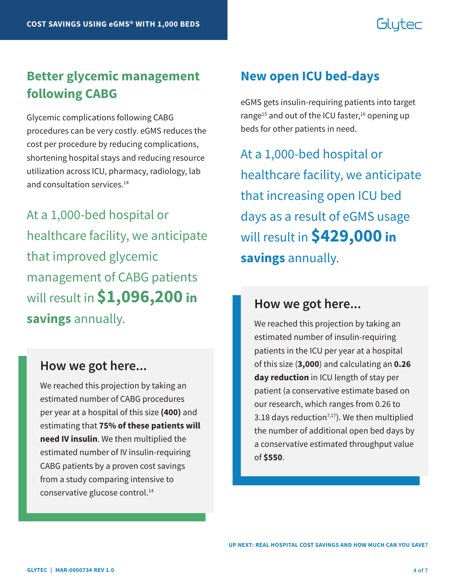# Glutec

## **Better glycemic management following CABG**

Glycemic complications following CABG procedures can be very costly. eGMS reduces the cost per procedure by reducing complications, shortening hospital stays and reducing resource utilization across ICU, pharmacy, radiology, lab and consultation services.<sup>14</sup>

At a 1,000-bed hospital or healthcare facility, we anticipate that improved glycemic management of CABG patients will result in **\$1,096,200 in savings** annually.

#### **How we got here...**

We reached this projection by taking an estimated number of CABG procedures per year at a hospital of this size **(400)** and estimating that **75% of these patients will need IV insulin**. We then multiplied the estimated number of IV insulin-requiring CABG patients by a proven cost savings from a study comparing intensive to conservative glucose control.14

### **New open ICU bed-days**

eGMS gets insulin-requiring patients into target range<sup>15</sup> and out of the ICU faster,<sup>16</sup> opening up beds for other patients in need.

At a 1,000-bed hospital or healthcare facility, we anticipate that increasing open ICU bed days as a result of eGMS usage will result in **\$429,000 in savings** annually.

#### **How we got here...**

We reached this projection by taking an estimated number of insulin-requiring patients in the ICU per year at a hospital of this size (**3,000**) and calculating an **0.26 day reduction** in ICU length of stay per patient (a conservative estimate based on our research, which ranges from 0.26 to 3.18 days reduction<sup>7,17</sup>). We then multiplied the number of additional open bed days by a conservative estimated throughput value of **\$550**.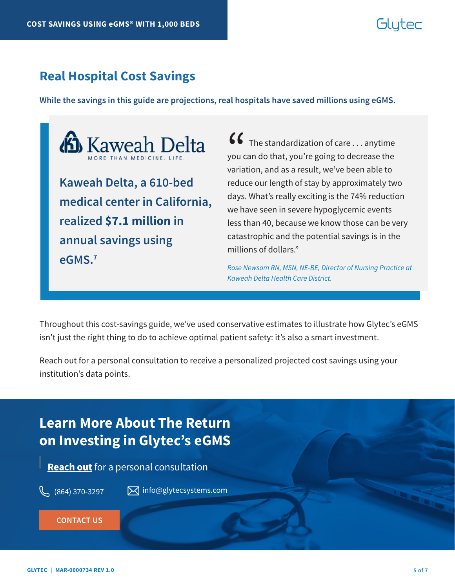# Gluter

#### **Real Hospital Cost Savings**

**While the savings in this guide are projections, real hospitals have saved millions using eGMS.** 



**medical center in California, realized \$7.1 million in annual savings using eGMS.7**

 $\bullet\bullet\bullet\bullet$  The standardization of care  $\ldots$  anytime you can do that, you're going to decrease the variation, and as a result, we've been able to reduce our length of stay by approximately two days. What's really exciting is the 74% reduction we have seen in severe hypoglycemic events less than 40, because we know those can be very catastrophic and the potential savings is in the millions of dollars."  $\binom{6}{}$ you c<br>varia

*Rose Newsom RN, MSN, NE-BE, Director of Nursing Practice at Kaweah Delta Health Care District.*

Throughout this cost-savings guide, we've used conservative estimates to illustrate how Glytec's eGMS isn't just the right thing to do to achieve optimal patient safety: it's also a smart investment.

Reach out for a personal consultation to receive a personalized projected cost savings using your institution's data points.

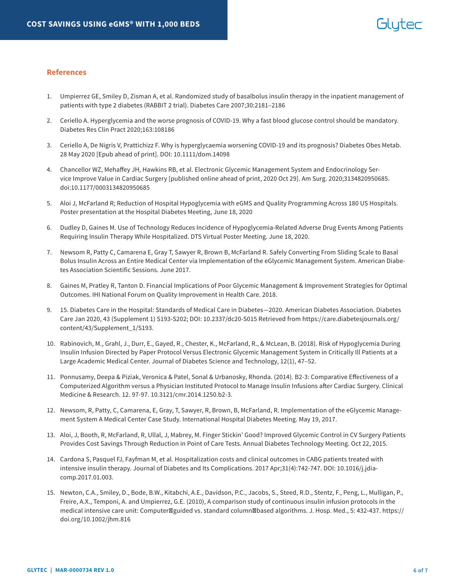#### **References**

- 1. Umpierrez GE, Smiley D, Zisman A, et al. Randomized study of basalbolus insulin therapy in the inpatient management of patients with type 2 diabetes (RABBIT 2 trial). Diabetes Care 2007;30:2181–2186
- 2. Ceriello A. Hyperglycemia and the worse prognosis of COVID-19. Why a fast blood glucose control should be mandatory. Diabetes Res Clin Pract 2020;163:108186
- 3. Ceriello A, De Nigris V, Prattichizz F. Why is hyperglycaemia worsening COVID-19 and its prognosis? Diabetes Obes Metab. 28 May 2020 [Epub ahead of print]. DOI: 10.1111/dom.14098
- 4. Chancellor WZ, Mehaffey JH, Hawkins RB, et al. Electronic Glycemic Management System and Endocrinology Service Improve Value in Cardiac Surgery [published online ahead of print, 2020 Oct 29]. Am Surg. 2020;3134820950685. doi:10.1177/0003134820950685
- 5. Aloi J, McFarland R; Reduction of Hospital Hypoglycemia with eGMS and Quality Programming Across 180 US Hospitals. Poster presentation at the Hospital Diabetes Meeting, June 18, 2020
- 6. Dudley D, Gaines M. Use of Technology Reduces Incidence of Hypoglycemia-Related Adverse Drug Events Among Patients Requiring Insulin Therapy While Hospitalized. DTS Virtual Poster Meeting. June 18, 2020.
- 7. Newsom R, Patty C, Camarena E, Gray T, Sawyer R, Brown B, McFarland R. Safely Converting From Sliding Scale to Basal Bolus Insulin Across an Entire Medical Center via Implementation of the eGlycemic Management System. American Diabetes Association Scientific Sessions. June 2017.
- 8. Gaines M, Pratley R, Tanton D. Financial Implications of Poor Glycemic Management & Improvement Strategies for Optimal Outcomes. IHI National Forum on Quality Improvement in Health Care. 2018.
- 9. 15. Diabetes Care in the Hospital: Standards of Medical Care in Diabetes—2020. American Diabetes Association. Diabetes Care Jan 2020, 43 (Supplement 1) S193-S202; DOI: 10.2337/dc20-S015 Retrieved from https://care.diabetesjournals.org/ content/43/Supplement\_1/S193.
- 10. Rabinovich, M., Grahl, J., Durr, E., Gayed, R., Chester, K., McFarland, R., & McLean, B. (2018). Risk of Hypoglycemia During Insulin Infusion Directed by Paper Protocol Versus Electronic Glycemic Management System in Critically Ill Patients at a Large Academic Medical Center. Journal of Diabetes Science and Technology, 12(1), 47–52.
- 11. Ponnusamy, Deepa & Piziak, Veronica & Patel, Sonal & Urbanosky, Rhonda. (2014). B2-3: Comparative Effectiveness of a Computerized Algorithm versus a Physician Instituted Protocol to Manage Insulin Infusions after Cardiac Surgery. Clinical Medicine & Research. 12. 97-97. 10.3121/cmr.2014.1250.b2-3.
- 12. Newsom, R, Patty, C, Camarena, E, Gray, T, Sawyer, R, Brown, B, McFarland, R. Implementation of the eGlycemic Management System A Medical Center Case Study. International Hospital Diabetes Meeting. May 19, 2017.
- 13. Aloi, J, Booth, R, McFarland, R, Ullal, J, Mabrey, M. Finger Stickin' Good? Improved Glycemic Control in CV Surgery Patients Provides Cost Savings Through Reduction in Point of Care Tests. Annual Diabetes Technology Meeting. Oct 22, 2015.
- 14. Cardona S, Pasquel FJ, Fayfman M, et al. Hospitalization costs and clinical outcomes in CABG patients treated with intensive insulin therapy. Journal of Diabetes and Its Complications. 2017 Apr;31(4):742-747. DOI: 10.1016/j.jdiacomp.2017.01.003.
- 15. Newton, C.A., Smiley, D., Bode, B.W., Kitabchi, A.E., Davidson, P.C., Jacobs, S., Steed, R.D., Stentz, F., Peng, L., Mulligan, P., Freire, A.X., Temponi, A. and Umpierrez, G.E. (2010), A comparison study of continuous insulin infusion protocols in the medical intensive care unit: Computer guided vs. standard column based algorithms. J. Hosp. Med., 5: 432-437. https:// doi.org/10.1002/jhm.816